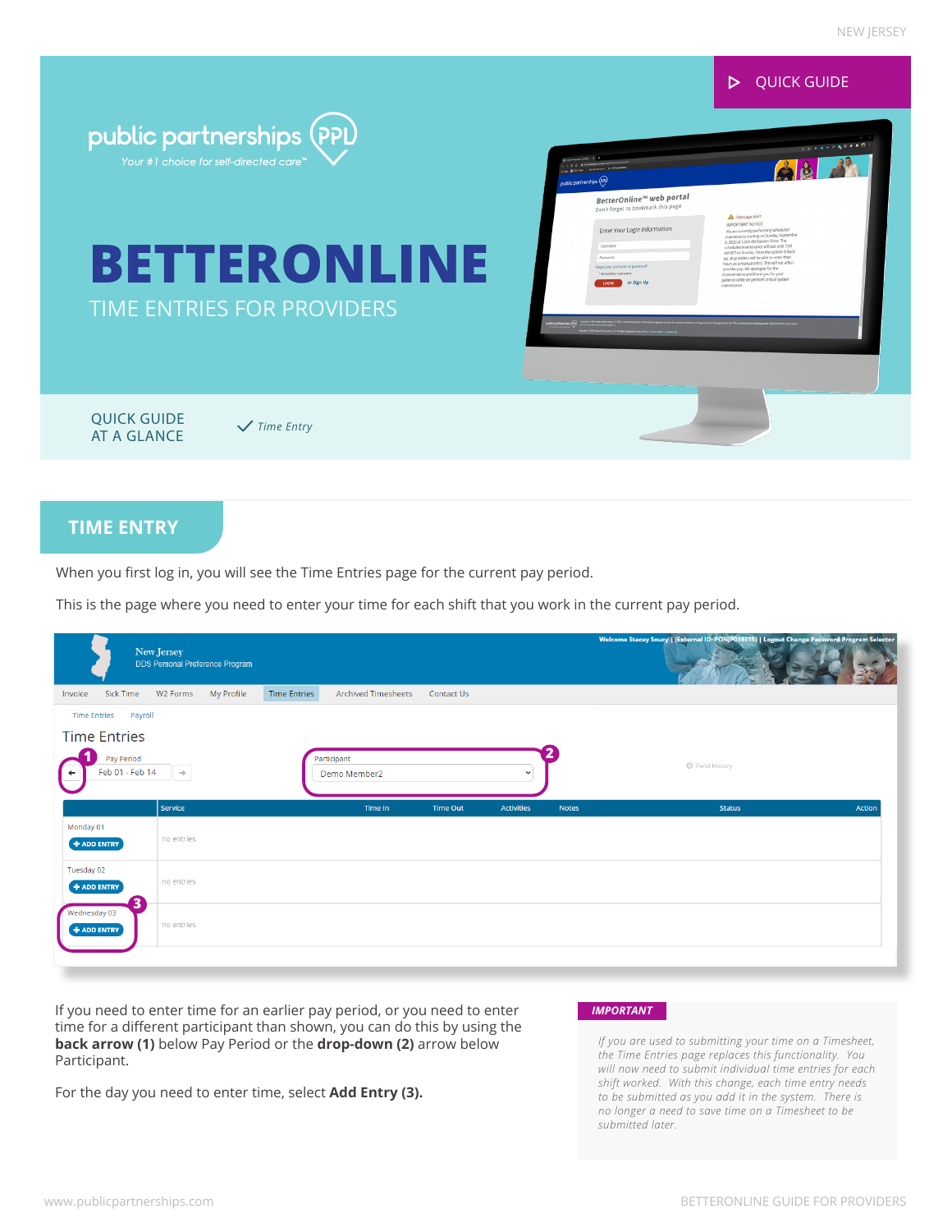

# **TIME ENTRY**

When you first log in, you will see the Time Entries page for the current pay period.

This is the page where you need to enter your time for each shift that you work in the current pay period.

|                                    | New Jersey<br>DDS Personal Preference Program |                     |                            |            |              |              | Welcome Stacey Soucy   (External ID: PONJP019315)   Logout Change Password Program Selector |               |
|------------------------------------|-----------------------------------------------|---------------------|----------------------------|------------|--------------|--------------|---------------------------------------------------------------------------------------------|---------------|
| Sick Time<br>Invoice               | W2 Forms<br>My Profile                        | <b>Time Entries</b> | <b>Archived Timesheets</b> | Contact Us |              |              |                                                                                             |               |
| Payroll<br><b>Time Entries</b>     |                                               |                     |                            |            |              |              |                                                                                             |               |
| <b>Time Entries</b>                |                                               |                     |                            |            |              |              |                                                                                             |               |
| Pay Period<br>Feb 01 - Feb 14<br>٠ | $\rightarrow$                                 | Participant         | Demo Member2               |            | $\checkmark$ |              | © Pend History                                                                              |               |
|                                    | Service                                       |                     | Time In                    | Time Out   | Activities   | <b>Notes</b> | <b>Status</b>                                                                               | <b>Action</b> |
| Monday 01<br>$+$ ADD ENTRY         | no entries                                    |                     |                            |            |              |              |                                                                                             |               |
| Tuesday 02<br>$+$ ADD ENTRY        | no entries                                    |                     |                            |            |              |              |                                                                                             |               |
| Wednesday 03<br>$+$ ADD ENTRY      | no entries                                    |                     |                            |            |              |              |                                                                                             |               |
|                                    |                                               |                     |                            |            |              |              |                                                                                             |               |

If you need to enter time for an earlier pay period, or you need to enter *IMPORTANT* time for a different participant than shown, you can do this by using the **back arrow (1)** below Pay Period or the **drop-down (2)** arrow below Participant.

For the day you need to enter time, select **Add Entry (3).**

*If you are used to submitting your time on a Timesheet, the Time Entries page replaces this functionality. You will now need to submit individual time entries for each shift worked. With this change, each time entry needs to be submitted as you add it in the system. There is no longer a need to save time on a Timesheet to be submitted later.*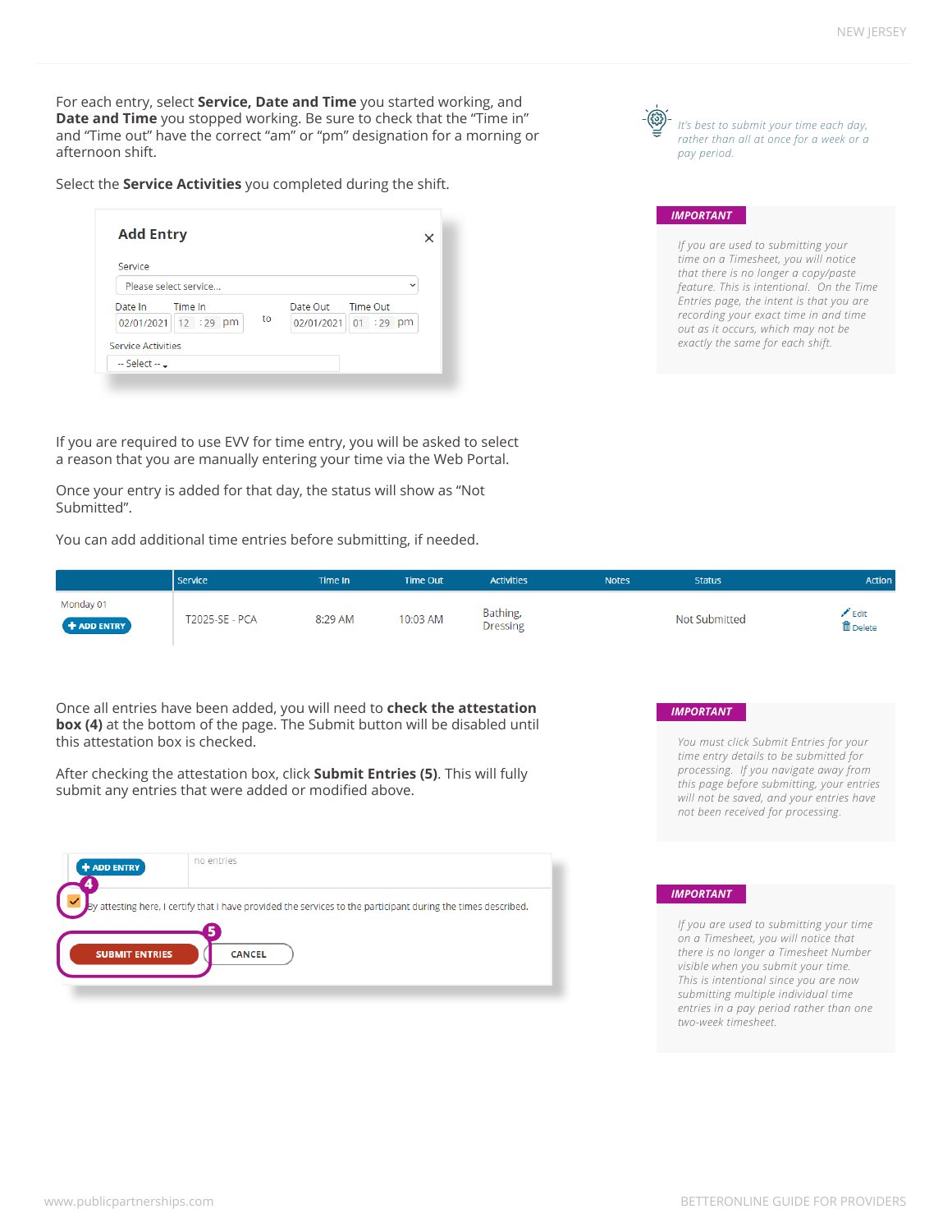For each entry, select **Service, Date and Time** you started working, and **Date and Time** you stopped working. Be sure to check that the "Time in" and "Time out" have the correct "am" or "pm" designation for a morning or afternoon shift.

Select the **Service Activities** you completed during the shift.

| Service    |                       |    |                            |
|------------|-----------------------|----|----------------------------|
|            | Please select service |    |                            |
| Date In    | Time In               |    | Date Out<br>Time Out       |
| 02/01/2021 | 12 :29 pm             | to | $01 : 29$ pm<br>02/01/2021 |



### *IMPORTANT*

*If you are used to submitting your time on a Timesheet, you will notice that there is no longer a copy/paste feature. This is intentional. On the Time Entries page, the intent is that you are recording your exact time in and time out as it occurs, which may not be exactly the same for each shift.* 

If you are required to use EVV for time entry, you will be asked to select a reason that you are manually entering your time via the Web Portal.

Once your entry is added for that day, the status will show as "Not Submitted".

You can add additional time entries before submitting, if needed.

|                            | l Service             | Time In | Time Out | <b>Activities</b>           | <b>Notes</b> | <b>Status</b>        | Action                           |
|----------------------------|-----------------------|---------|----------|-----------------------------|--------------|----------------------|----------------------------------|
| Monday 01<br>$+$ ADD ENTRY | <b>T2025-SE - PCA</b> | 8:29 AM | 10:03 AM | Bathing,<br><b>Dressing</b> |              | <b>Not Submitted</b> | $\angle$ Edit<br><b>面</b> Delete |

Once all entries have been added, you will need to **check the attestation box (4)** at the bottom of the page. The Submit button will be disabled until this attestation box is checked.

After checking the attestation box, click **Submit Entries (5)**. This will fully submit any entries that were added or modified above.

| + ADD ENTRY           | no entries                                                                                                    |  |
|-----------------------|---------------------------------------------------------------------------------------------------------------|--|
|                       | By attesting here, I certify that I have provided the services to the participant during the times described. |  |
| <b>SUBMIT ENTRIES</b> | <b>CANCEL</b>                                                                                                 |  |

## *IMPORTANT*

*You must click Submit Entries for your time entry details to be submitted for processing. If you navigate away from this page before submitting, your entries will not be saved, and your entries have not been received for processing.*

## *IMPORTANT*

*If you are used to submitting your time on a Timesheet, you will notice that there is no longer a Timesheet Number visible when you submit your time. This is intentional since you are now submitting multiple individual time entries in a pay period rather than one two-week timesheet.*